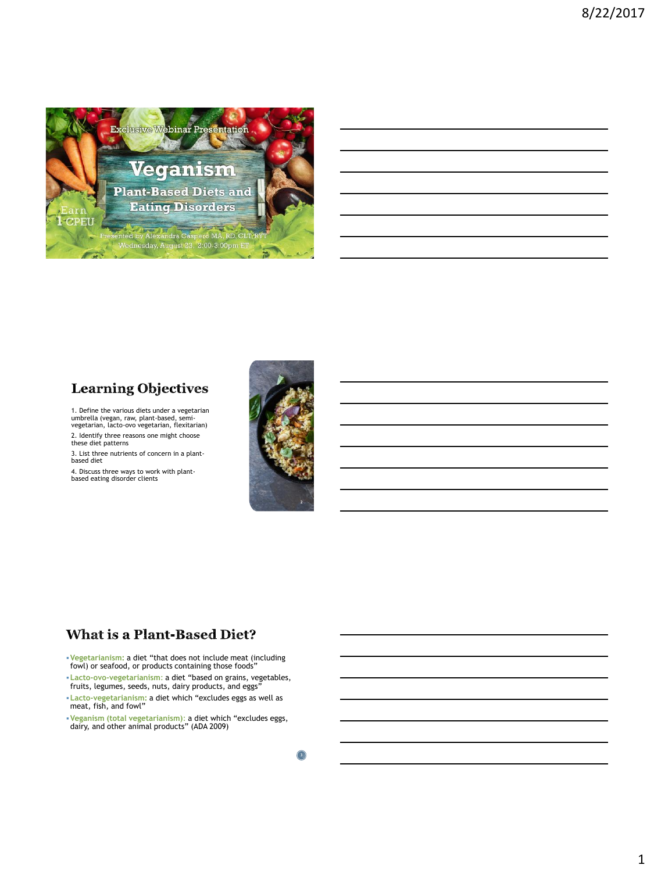

## **Learning Objectives**

1. Define the various diets under a vegetarian umbrella (vegan, raw, plant-based, semi-vegetarian, lacto-ovo vegetarian, flexitarian)

2. Identify three reasons one might choose these diet patterns

3. List three nutrients of concern in a plantbased diet

4. Discuss three ways to work with plant-based eating disorder clients



## **What is a Plant-Based Diet?**

▪**Vegetarianism:** a diet "that does not include meat (including fowl) or seafood, or products containing those foods"

▪**Lacto-ovo-vegetarianism**: a diet "based on grains, vegetables, fruits, legumes, seeds, nuts, dairy products, and eggs"

- ▪**Lacto-vegetarianism:** a diet which "excludes eggs as well as meat, fish, and fowl"
- ▪**Veganism (total vegetarianism)**: a diet which "excludes eggs, dairy, and other animal products" (ADA 2009)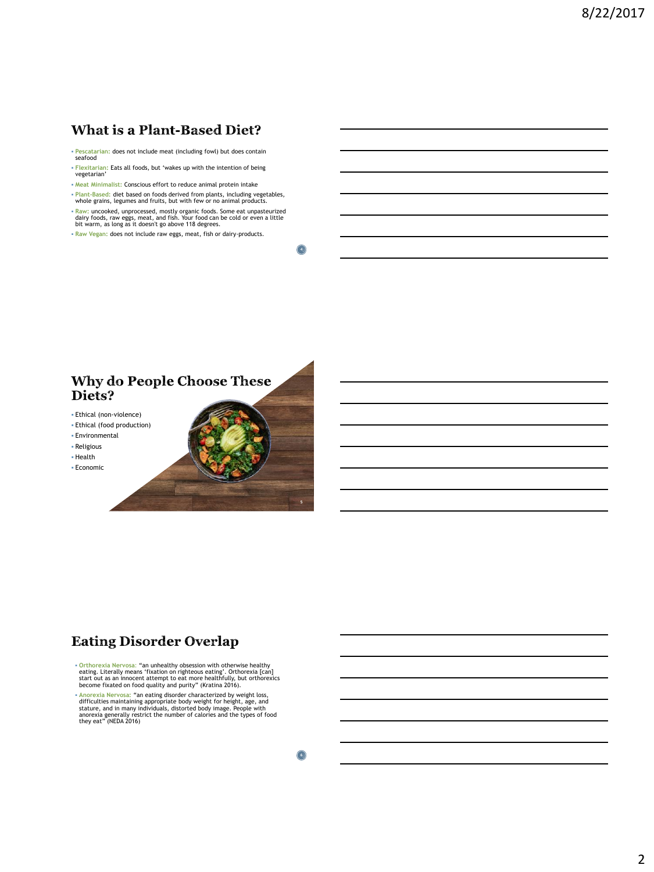### **What is a Plant-Based Diet?**

- **Pescatarian:** does not include meat (including fowl) but does contain seafood
- **Flexitarian:** Eats all foods, but 'wakes up with the intention of being vegetarian'
- **Meat Minimalist:** Conscious effort to reduce animal protein intake
- **Plant-Based:** diet based on foods derived from plants, including vegetables, whole grains, legumes and fruits, but with few or no animal products.
- **Raw:** uncooked, unprocessed, mostly organic foods. Some eat unpasteurized<br>dairy foods, raw eggs, meat, and fish. Your food can be cold or even a little<br>bit warm, as long as it doesn't go above 118 degrees.
- **Raw Vegan:** does not include raw eggs, meat, fish or dairy-products.

**4**

#### Why do People Choose These Diets?

- Ethical (non-violence)
- Ethical (food production)
- **Environmental**
- Religious
- Health
- Economic

## **Eating Disorder Overlap**

- **Orthorexia Nervosa**: "an unhealthy obsession with otherwise healthy eating. Literally means 'fixation on righteous eating'. Orthorexia [can] start out as an innocent attempt to eat more healthfully, but orthorexics become fixated on food quality and purity" (Kratina 2016).
- **\* Anorexia Nervosa:** "an eating disorder characterized by weight loss,<br>difficulties maintaining appropriate body weight or height, age, and<br>stature, and in many individuals, distorted body image. People with<br>anorexia gene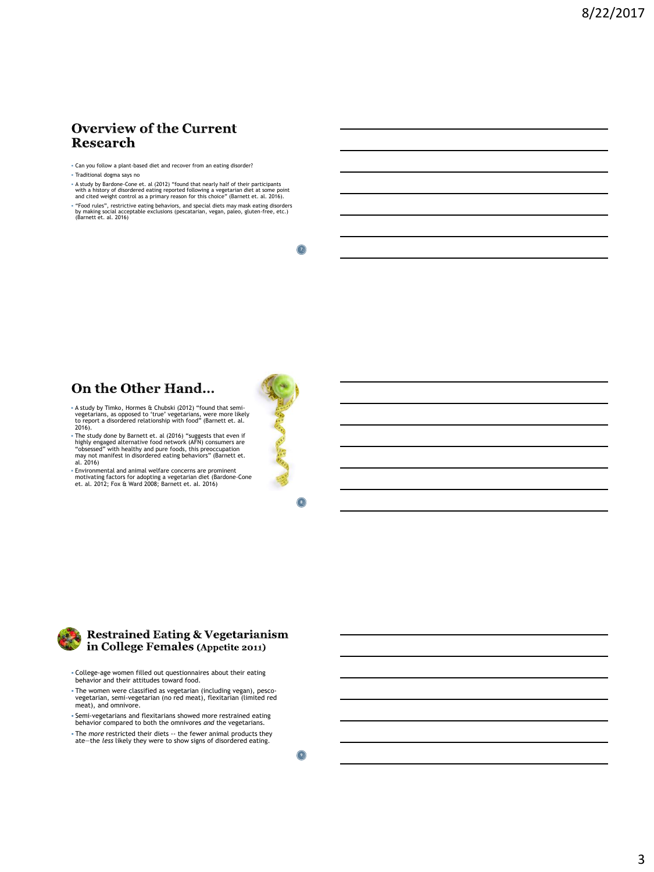#### **Overview of the Current Research**

- Can you follow a plant-based diet and recover from an eating disorder?
- Traditional dogma says no
- A study by Bardone-Cone et. al (2012) "found that nearly half of their participants with a history of disordered eating reported following a vegetarian diet at some point and cited weight control as a primary reason for this choice" (Barnett et. al. 2016).
- "Food rules", restrictive eating behaviors, and special diets may mask eating disorders by making social acceptable exclusions (pescatarian, vegan, paleo, gluten-free, etc.) (Barnett et. al. 2016)

**7**

#### On the Other Hand...

- A study by Timko, Hormes & Chubski (2012) "found that semivegetarians, as opposed to 'true' vegetarians, were more likely to report a disordered relationship with food" (Barnett et. al. 2016).
- The study done by Barnett et. al (2016) "suggests that even if highly engaged alternative food network (AFN) consumers are "obsessed" with healthy and pure foods, this preoccupation may not manifest in disordered eating
- Environmental and animal welfare concerns are prominent motivating factors for adopting a vegetarian diet (Bardone-Cone et. al. 2012; Fox & Ward 2008; Barnett et. al. 2016)



**8**



#### **Restrained Eating & Vegetarianism** in College Females (Appetite 2011)

- College-age women filled out questionnaires about their eating behavior and their attitudes toward food.
- The women were classified as vegetarian (including vegan), pesco-vegetarian, semi-vegetarian (no red meat), flexitarian (limited red meat), and omnivore.
- Semi-vegetarians and flexitarians showed more restrained eating behavior compared to both the omnivores *and* the vegetarians.
- The *more* restricted their diets -- the fewer animal products they ate—the *less* likely they were to show signs of disordered eating.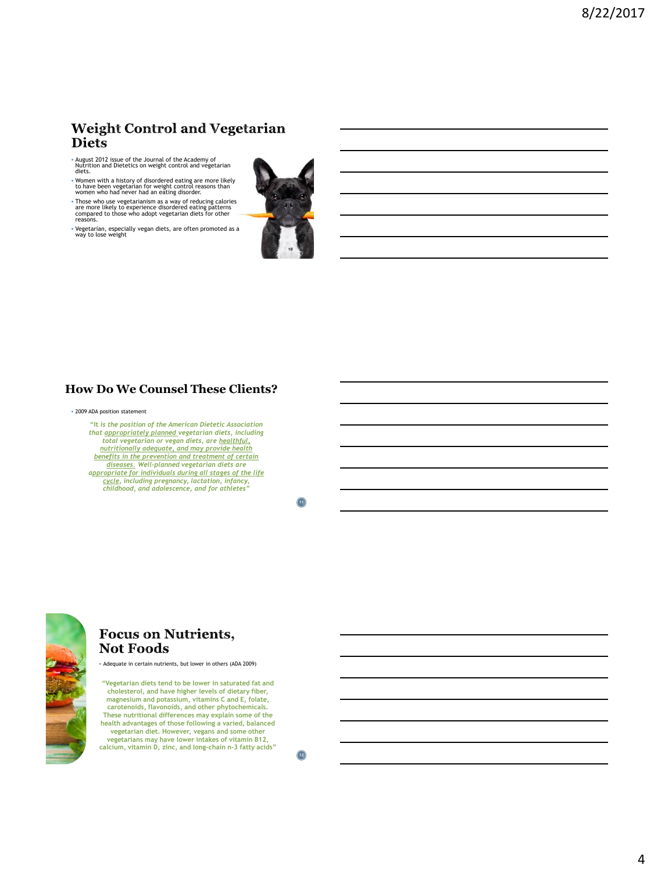#### **Weight Control and Vegetarian Diets**

- August 2012 issue of the Journal of the Academy of Nutrition and Dietetics on weight control and vegetarian diets.
- Women with a history of disordered eating are more likely to have been vegetarian for weight control reasons than women who had never had an eating disorder.
- Those who use vegetarianism as a way of reducing calories are more likely to experience disordered eating patterns compared to those who adopt vegetarian diets for other reasons.
- Vegetarian, especially vegan diets, are often promoted as a way to lose weight



#### **How Do We Counsel These Clients?**

#### ▪ 2009 ADA position statement

**"It** *is the position of the American Dietetic Association that appropriately planned vegetarian diets, including total vegetarian or vegan diets, are healthful, nutritionally adequate, and may provide health benefits in the prevention and treatment of certain diseases. Well-planned vegetarian diets are appropriate for individuals during all stages of the life cycle, including pregnancy, lactation, infancy, childhood, and adolescence, and for athletes"*

**11**



#### **Focus on Nutrients, Not Foods**

▪ Adequate in certain nutrients, but lower in others (ADA 2009)

**"Vegetarian diets tend to be lower in saturated fat and cholesterol, and have higher levels of dietary fiber, magnesium and potassium, vitamins C and E, folate, carotenoids, flavonoids, and other phytochemicals. These nutritional differences may explain some of the health advantages of those following a varied, balanced vegetarian diet. However, vegans and some other vegetarians may have lower intakes of vitamin B12, calcium, vitamin D, zinc, and long-chain n-3 fatty acids"**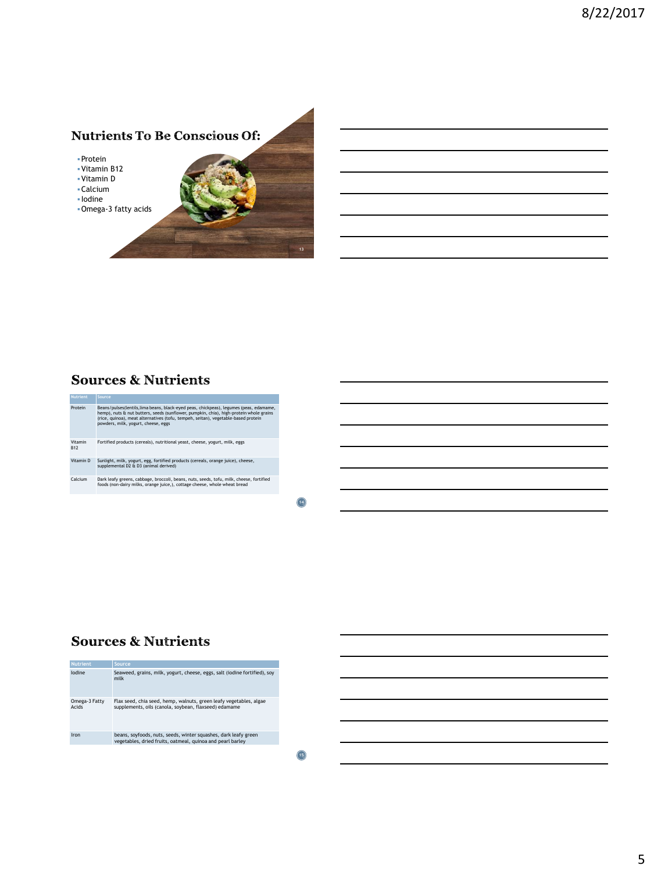## **Nutrients To Be Conscious Of:**

▪Protein

- ▪Vitamin B12
- ▪Vitamin D
- ▪Calcium ▪ Iodine
- 
- ▪Omega-3 fatty acids

#### **Sources & Nutrients**



**14**

**13**

#### **Sources & Nutrients**

| <b>Nutrient</b>        | Source                                                                                                                        |
|------------------------|-------------------------------------------------------------------------------------------------------------------------------|
| lodine                 | Seaweed, grains, milk, yogurt, cheese, eggs, salt (iodine fortified), soy<br>milk                                             |
| Omega-3 Fatty<br>Acids | Flax seed, chia seed, hemp, walnuts, green leafy vegetables, algae<br>supplements, oils (canola, soybean, flaxseed) edamame   |
| Iron                   | beans, soyfoods, nuts, seeds, winter squashes, dark leafy green<br>vegetables, dried fruits, oatmeal, guinoa and pearl barley |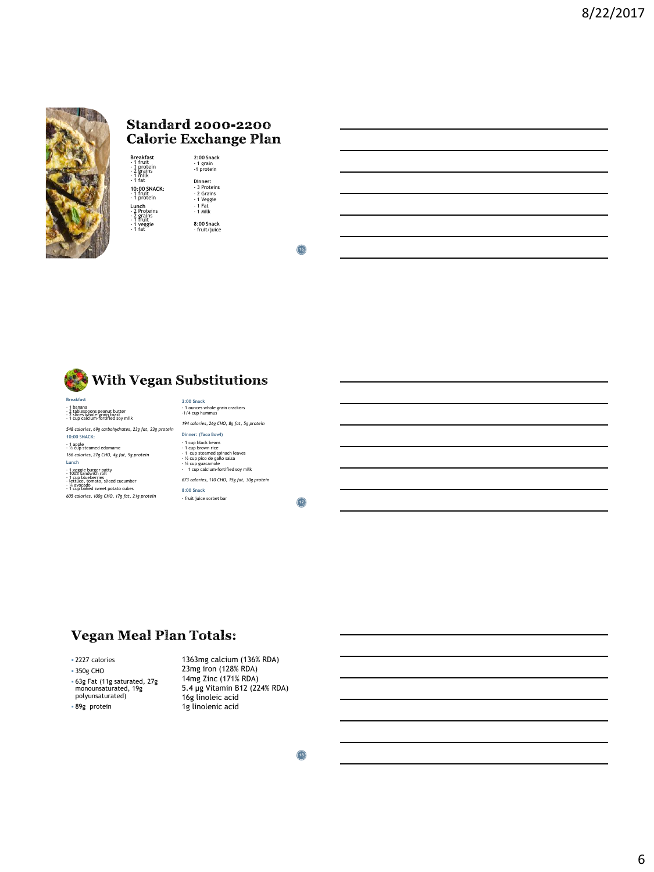

#### **Standard 2000-2200 Calorie Exchange Plan**

**Breakfast<br>- 1** fruit<br>- 1 protein<br>- 2 grains<br>- 1 milk **10:00 SNACK:**<br>- 1 fruit<br>- 1 protein **Lunch<br>- 2 Proteins<br>- 2 grains<br>- 1 fruit<br>- 1 fat 2:00 Snack** - 1 grain -1 protein **Dinner:**<br>- 3 Proteins<br>- 2 Grains<br>- 1 Veggie<br>- 1 Fat<br>- 1 Milk **8:00 Snack** - fruit/juice

**16**



- 1 banana - 2 tablespoons peanut butter - 2 slices whole-grain toast - 1 cup calcium-fortified soy milk

*548 calories, 69g carbohydrates, 23g fat, 23g protein*

**10:00 SNACK:**

- 1 apple - ½ cup steamed edamame *166 calories, 27g CHO, 4g fat, 9g protein*  **Lunch**

- 1 veggie burger patty 100% sandwich roll 1 cup blueberries lettuce, tomato, sliced cucumber ¼ avocado 1 cup baked sweet potato cubes
- *605 calories, 100g CHO, 17g fat, 21g protein*

**2:00 Snack** - 1 ounces whole grain crackers -1/4 cup hummus *194 calories, 26g CHO, 8g fat, 5g protein* **Dinner: (Taco Bowl)**  - 1 cup black beans - 1 cup brown rice - 1 cup steamed spinach leaves - ½ cup pico de gallo salsa - ¼ cup guacamole - 1 cup calcium-fortified soy milk *673 calories, 110 CHO, 15g fat, 30g protein* **8:00 Snack**

- fruit juice sorbet bar

**17**

## **Vegan Meal Plan Totals:**

▪ 2227 calories

▪ 350g CHO

▪ 63g Fat (11g saturated, 27g monounsaturated, 19g polyunsaturated)

▪ 89g protein

1363mg calcium (136% RDA) 23mg iron (128% RDA) 14mg Zinc (171% RDA) 5.4 µg Vitamin B12 (224% RDA) 16g linoleic acid 1g linolenic acid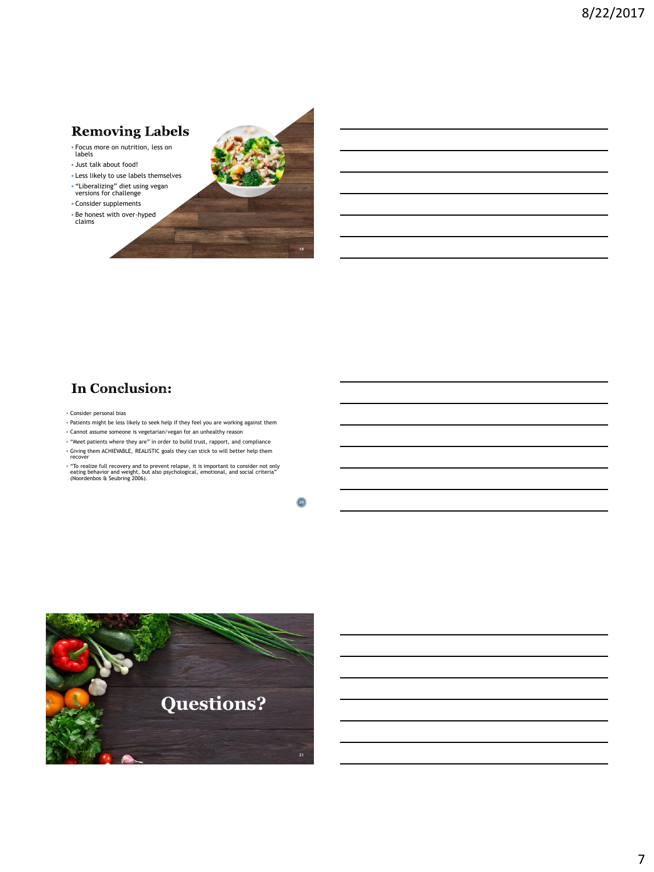# **Removing Labels**

- Focus more on nutrition, less on labels
- Just talk about food!
- Less likely to use labels themselves
- "Liberalizing" diet using vegan versions for challenge
- Consider supplements
- Be honest with over-hyped claims



# **In Conclusion:**

- Consider personal bias
- Patients might be less likely to seek help if they feel you are working against them
- Cannot assume someone is vegetarian/vegan for an unhealthy reason
- "Meet patients where they are" in order to build trust, rapport, and compliance ▪ Giving them ACHIEVABLE, REALISTIC goals they can stick to will better help them recover
- "To realize full recovery and to prevent relapse, it is important to consider not only eating behavior and weight, but also psychological, emotional, and social criteria" (Noordenbos & Seubring 2006).

**20**